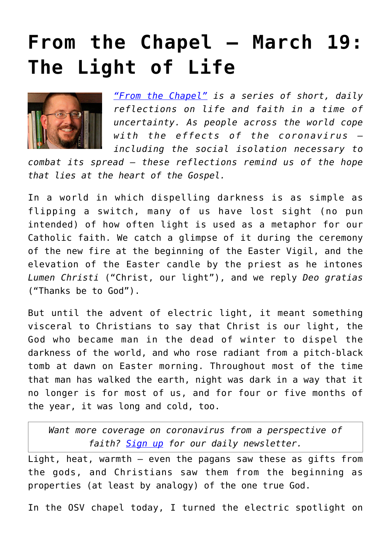## **[From the Chapel — March 19:](https://www.osvnews.com/2020/03/19/from-the-chapel-march-19-the-light-of-life/) [The Light of Life](https://www.osvnews.com/2020/03/19/from-the-chapel-march-19-the-light-of-life/)**



*["From the Chapel"](https://www.osvnews.com/tag/from-the-chapel/) is a series of short, daily reflections on life and faith in a time of uncertainty. As people across the world cope with the effects of the coronavirus including the social isolation necessary to*

*combat its spread — these reflections remind us of the hope that lies at the heart of the Gospel.*

In a world in which dispelling darkness is as simple as flipping a switch, many of us have lost sight (no pun intended) of how often light is used as a metaphor for our Catholic faith. We catch a glimpse of it during the ceremony of the new fire at the beginning of the Easter Vigil, and the elevation of the Easter candle by the priest as he intones *Lumen Christi* ("Christ, our light"), and we reply *Deo gratias* ("Thanks be to God").

But until the advent of electric light, it meant something visceral to Christians to say that Christ is our light, the God who became man in the dead of winter to dispel the darkness of the world, and who rose radiant from a pitch-black tomb at dawn on Easter morning. Throughout most of the time that man has walked the earth, night was dark in a way that it no longer is for most of us, and for four or five months of the year, it was long and cold, too.

*Want more coverage on coronavirus from a perspective of faith? [Sign up](https://reply.osv.com/covid-19) for our daily newsletter.*

Light, heat, warmth — even the pagans saw these as gifts from the gods, and Christians saw them from the beginning as properties (at least by analogy) of the one true God.

In the OSV chapel today, I turned the electric spotlight on